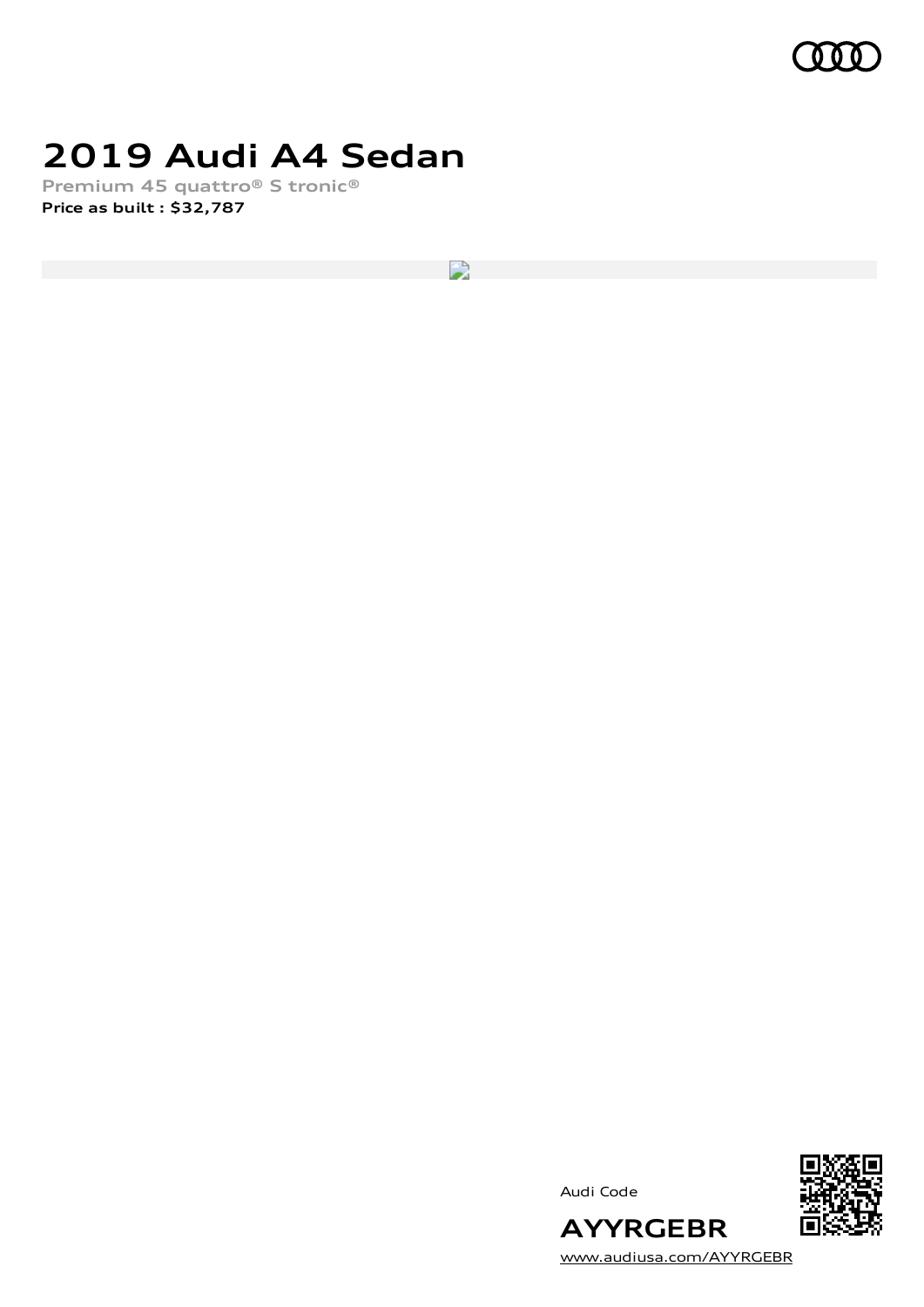

## **2019 Audi A4 Sedan**

**Premium 45 quattro® S tronic® Price as built [:](#page-10-0) \$32,787**

 $\overline{\phantom{a}}$ 

Audi Code



**AYYRGEBR** [www.audiusa.com/AYYRGEBR](https://www.audiusa.com/AYYRGEBR)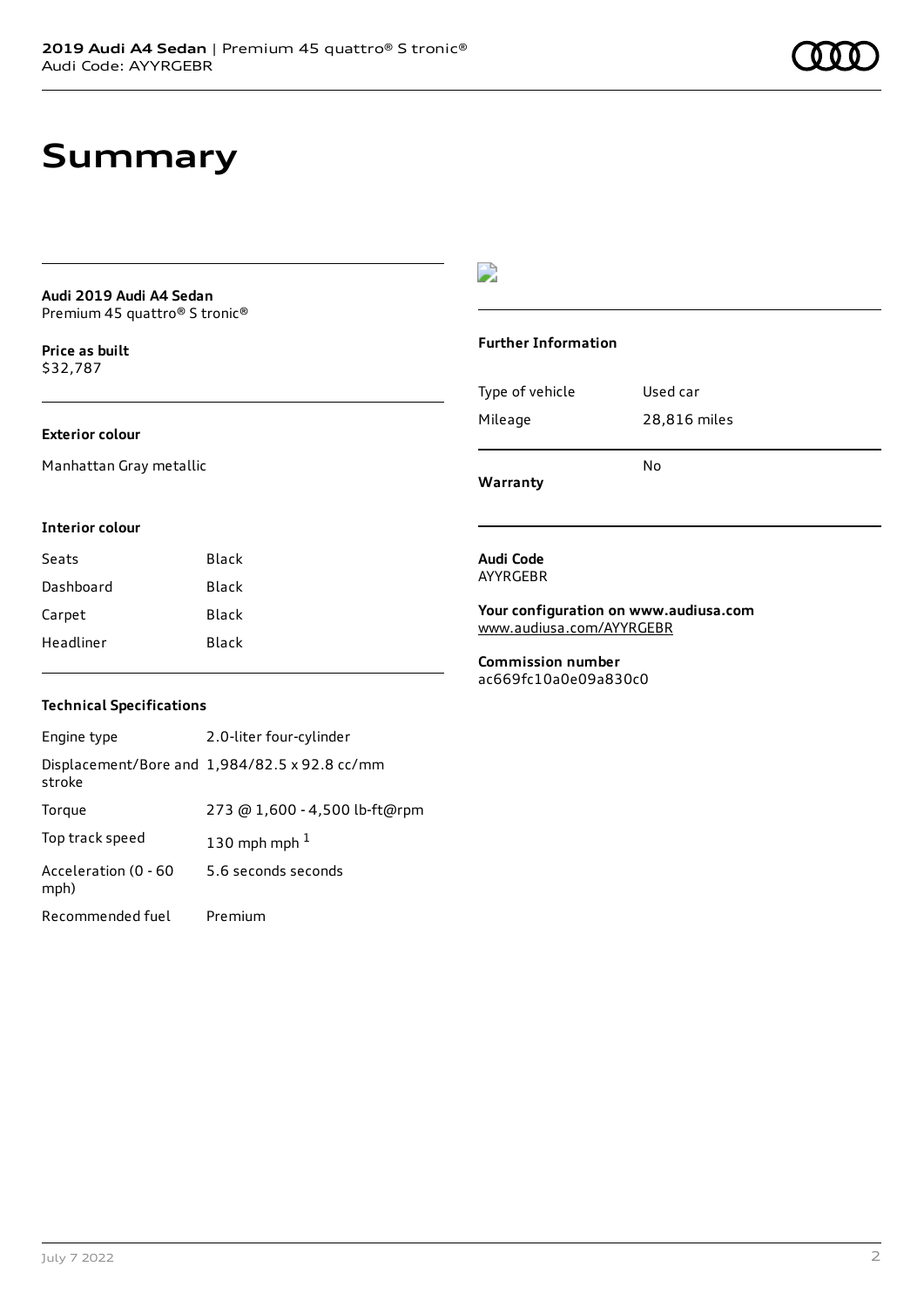## **Summary**

#### **Audi 2019 Audi A4 Sedan** Premium 45 quattro® S tronic®

**Price as buil[t](#page-10-0)** \$32,787

#### **Exterior colour**

Manhattan Gray metallic

#### $\overline{\phantom{a}}$

#### **Further Information**

| Warranty        |              |
|-----------------|--------------|
|                 | N٥           |
| Mileage         | 28,816 miles |
| Type of vehicle | Used car     |

#### **Interior colour**

| Black |
|-------|
| Black |
| Black |
| Black |
|       |

#### **Audi Code** AYYRGEBR

**Your configuration on www.audiusa.com** [www.audiusa.com/AYYRGEBR](https://www.audiusa.com/AYYRGEBR)

**Commission number** ac669fc10a0e09a830c0

#### **Technical Specifications**

| Engine type                  | 2.0-liter four-cylinder                       |
|------------------------------|-----------------------------------------------|
| stroke                       | Displacement/Bore and 1,984/82.5 x 92.8 cc/mm |
| Torque                       | 273 @ 1,600 - 4,500 lb-ft@rpm                 |
| Top track speed              | 130 mph mph $1$                               |
| Acceleration (0 - 60<br>mph) | 5.6 seconds seconds                           |
| Recommended fuel             | Premium                                       |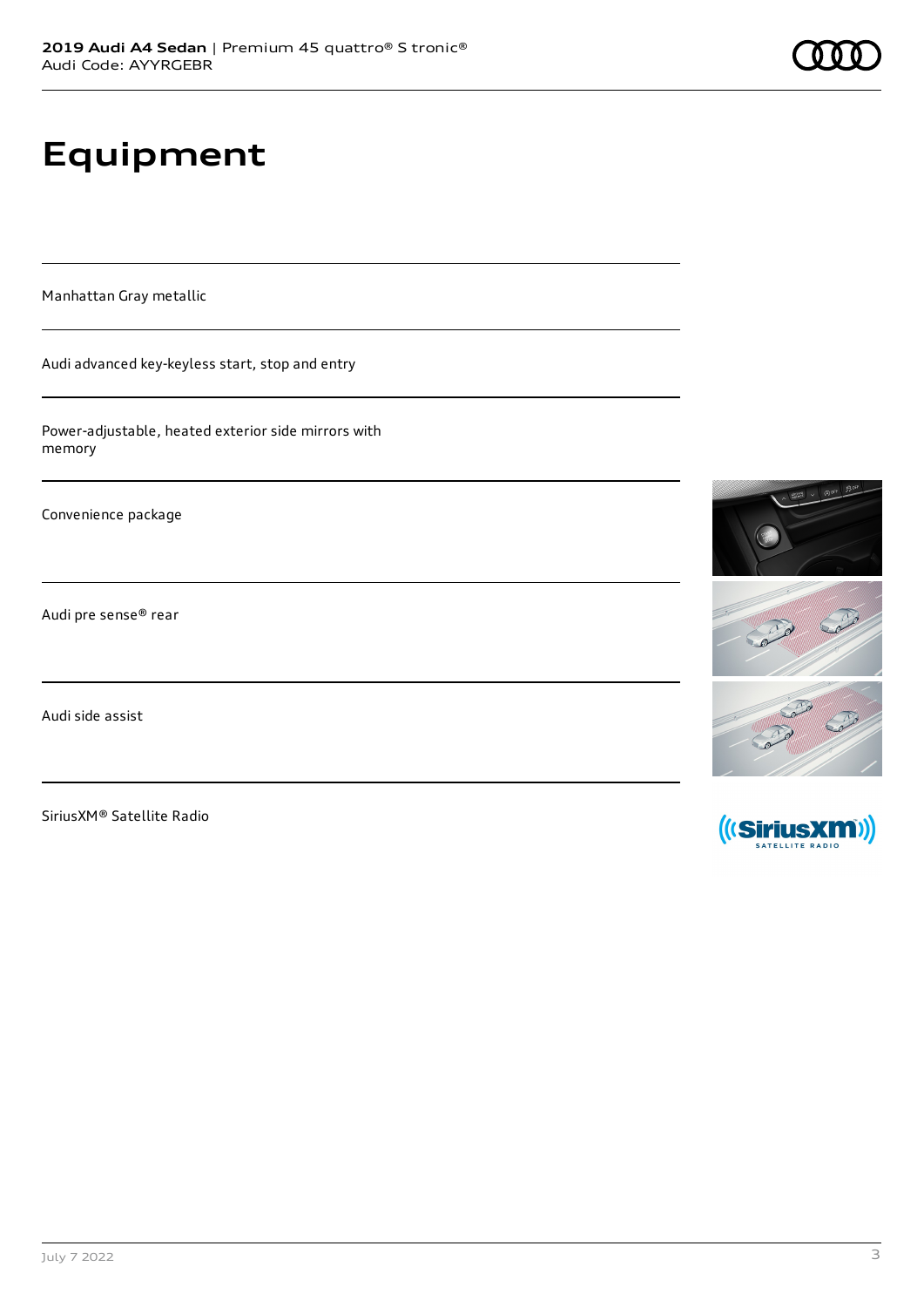# **Equipment**

Manhattan Gray metallic

Audi advanced key-keyless start, stop and entry

Power-adjustable, heated exterior side mirrors with memory

Convenience package

Audi pre sense® rear

Audi side assist

SiriusXM® Satellite Radio



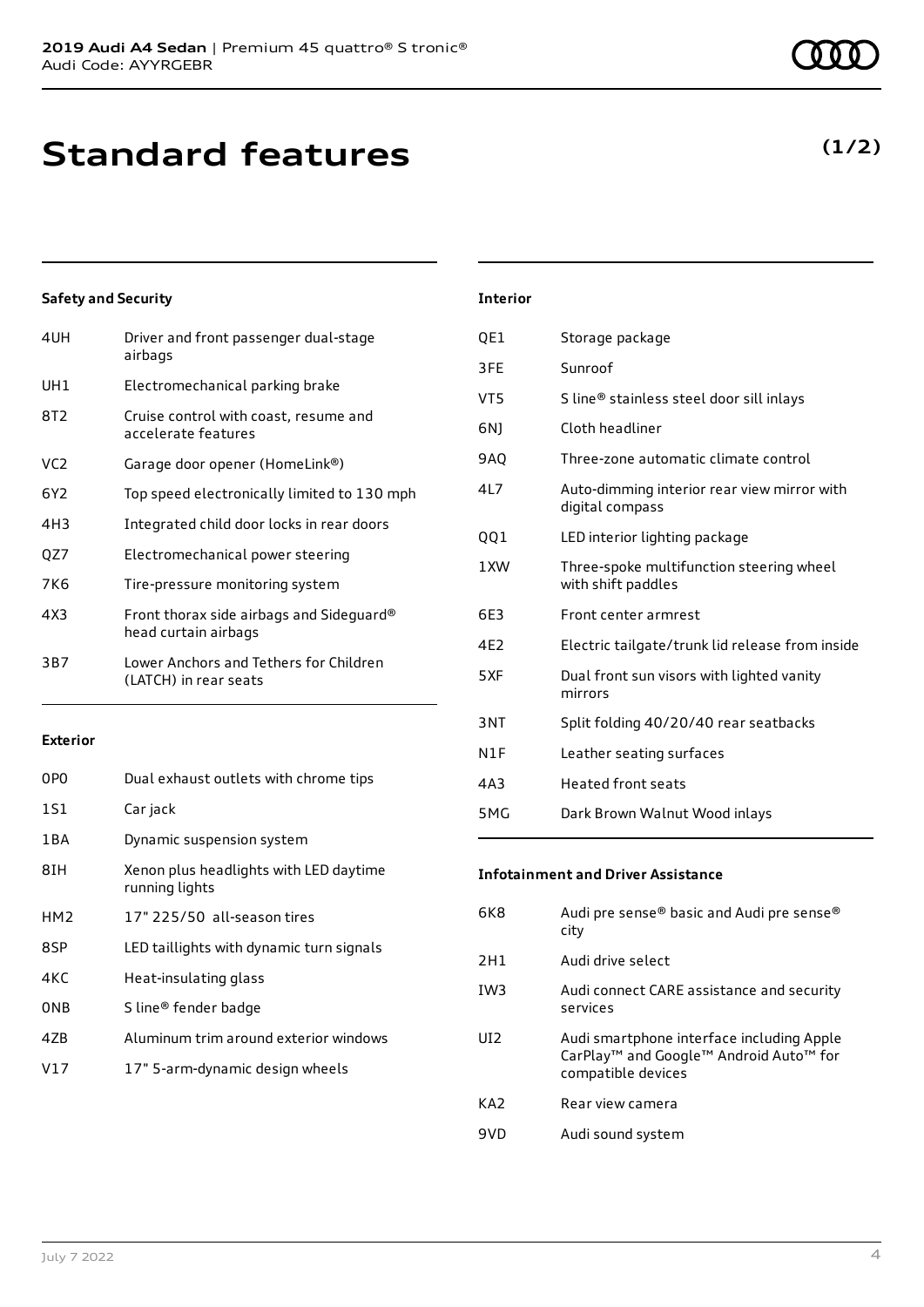## **Standard features**

#### **Safety and Security**

| 4UH             | Driver and front passenger dual-stage<br>airbags                 |
|-----------------|------------------------------------------------------------------|
| UH1             | Electromechanical parking brake                                  |
| 8T2             | Cruise control with coast, resume and<br>accelerate features     |
| VC <sub>2</sub> | Garage door opener (HomeLink®)                                   |
| 6Y2             | Top speed electronically limited to 130 mph                      |
| 4H3             | Integrated child door locks in rear doors                        |
| QZ7             | Electromechanical power steering                                 |
| 7K6             | Tire-pressure monitoring system                                  |
| 4X3             | Front thorax side airbags and Sideguard®<br>head curtain airbags |
| 3B7             | Lower Anchors and Tethers for Children<br>(LATCH) in rear seats  |
|                 |                                                                  |

#### **Exterior**

| 0PO             | Dual exhaust outlets with chrome tips                    |
|-----------------|----------------------------------------------------------|
| 1S1             | Car jack                                                 |
| 1 B A           | Dynamic suspension system                                |
| 8IH             | Xenon plus headlights with LED daytime<br>running lights |
| HM <sub>2</sub> | 17" 225/50 all-season tires                              |
| 8SP             | LED taillights with dynamic turn signals                 |
| 4KC             | Heat-insulating glass                                    |
| 0 <sub>NB</sub> | S line® fender badge                                     |
| 47B             | Aluminum trim around exterior windows                    |
| V17             | 17" 5-arm-dynamic design wheels                          |

### QE1 Storage package 3FE Sunroof VT5 S line® stainless steel door sill inlays 6NJ Cloth headliner 9AQ Three-zone automatic climate control 4L7 Auto-dimming interior rear view mirror with digital compass QQ1 LED interior lighting package 1XW Three-spoke multifunction steering wheel with shift paddles 6E3 Front center armrest

4E2 Electric tailgate/trunk lid release from inside

- 5XF Dual front sun visors with lighted vanity mirrors
- 3NT Split folding 40/20/40 rear seatbacks
- N1F Leather seating surfaces
- 4A3 Heated front seats

**Interior**

5MG Dark Brown Walnut Wood inlays

#### **Infotainment and Driver Assistance**

| <b>6K8</b>      | Audi pre sense® basic and Audi pre sense®<br>city                                                                     |
|-----------------|-----------------------------------------------------------------------------------------------------------------------|
| 2H1             | Audi drive select                                                                                                     |
| IW <sub>3</sub> | Audi connect CARE assistance and security<br>services                                                                 |
| UI <sub>2</sub> | Audi smartphone interface including Apple<br>CarPlay <sup>™</sup> and Google™ Android Auto™ for<br>compatible devices |
| KA <sub>2</sub> | Rear view camera                                                                                                      |
| 9VD             | Audi sound system                                                                                                     |

### **(1/2)**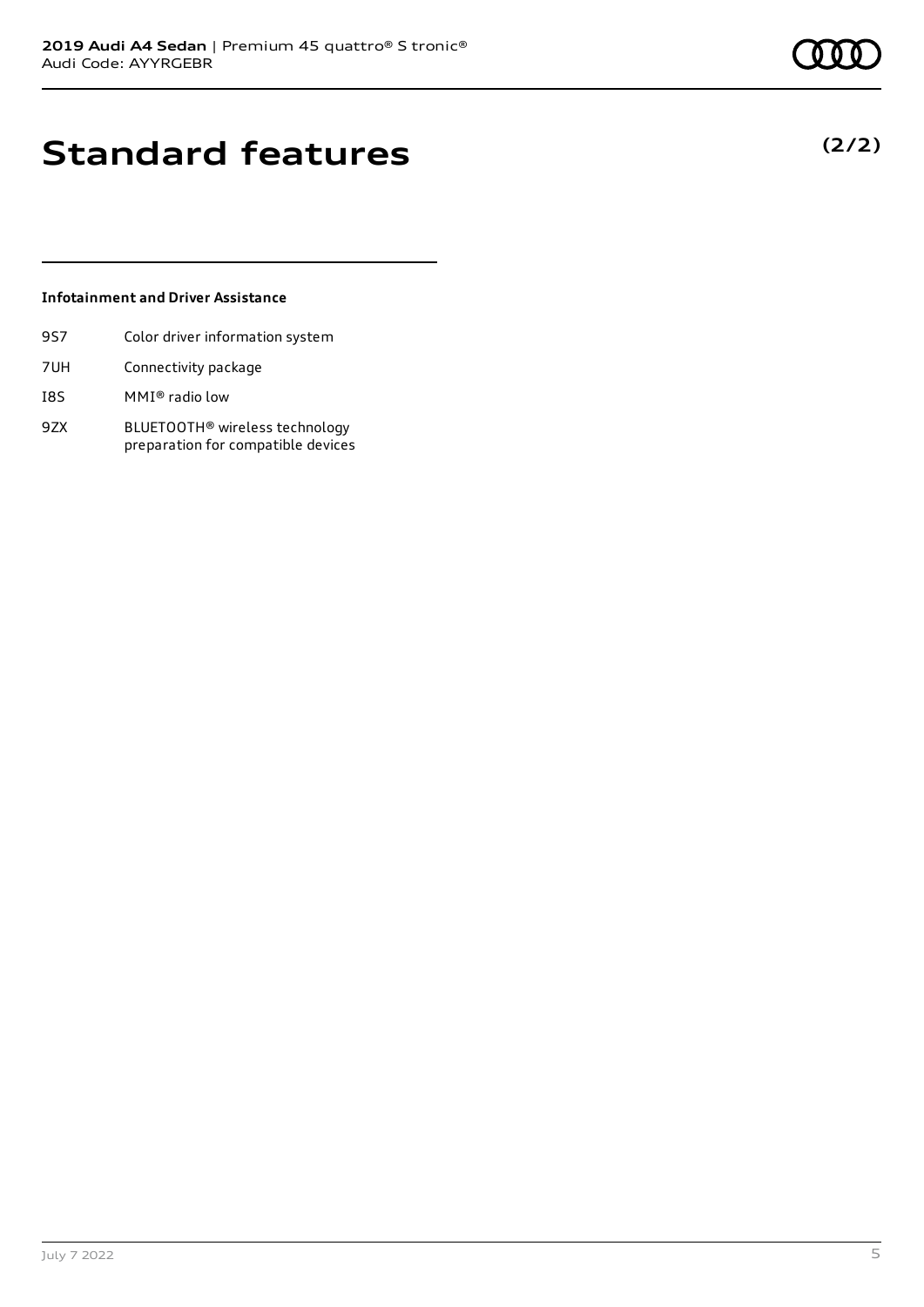**(2/2)**

## **Standard features**

#### **Infotainment and Driver Assistance**

- 9S7 Color driver information system
- 7UH Connectivity package
- I8S MMI® radio low
- 9ZX BLUETOOTH® wireless technology preparation for compatible devices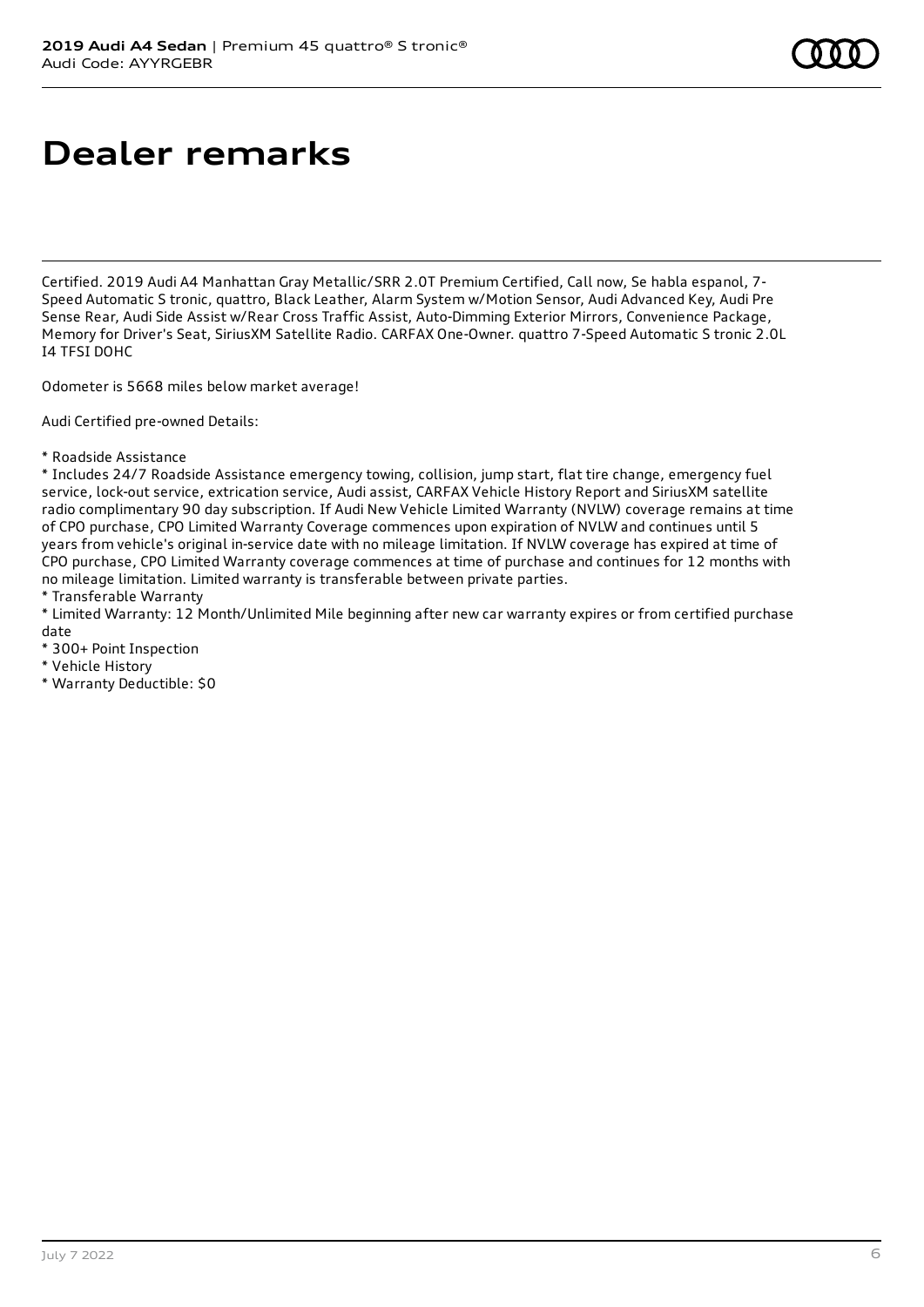# **Dealer remarks**

Certified. 2019 Audi A4 Manhattan Gray Metallic/SRR 2.0T Premium Certified, Call now, Se habla espanol, 7- Speed Automatic S tronic, quattro, Black Leather, Alarm System w/Motion Sensor, Audi Advanced Key, Audi Pre Sense Rear, Audi Side Assist w/Rear Cross Traffic Assist, Auto-Dimming Exterior Mirrors, Convenience Package, Memory for Driver's Seat, SiriusXM Satellite Radio. CARFAX One-Owner. quattro 7-Speed Automatic S tronic 2.0L I4 TFSI DOHC

Odometer is 5668 miles below market average!

Audi Certified pre-owned Details:

\* Roadside Assistance

\* Includes 24/7 Roadside Assistance emergency towing, collision, jump start, flat tire change, emergency fuel service, lock-out service, extrication service, Audi assist, CARFAX Vehicle History Report and SiriusXM satellite radio complimentary 90 day subscription. If Audi New Vehicle Limited Warranty (NVLW) coverage remains at time of CPO purchase, CPO Limited Warranty Coverage commences upon expiration of NVLW and continues until 5 years from vehicle's original in-service date with no mileage limitation. If NVLW coverage has expired at time of CPO purchase, CPO Limited Warranty coverage commences at time of purchase and continues for 12 months with no mileage limitation. Limited warranty is transferable between private parties.

\* Transferable Warranty

\* Limited Warranty: 12 Month/Unlimited Mile beginning after new car warranty expires or from certified purchase date

- \* 300+ Point Inspection
- \* Vehicle History
- \* Warranty Deductible: \$0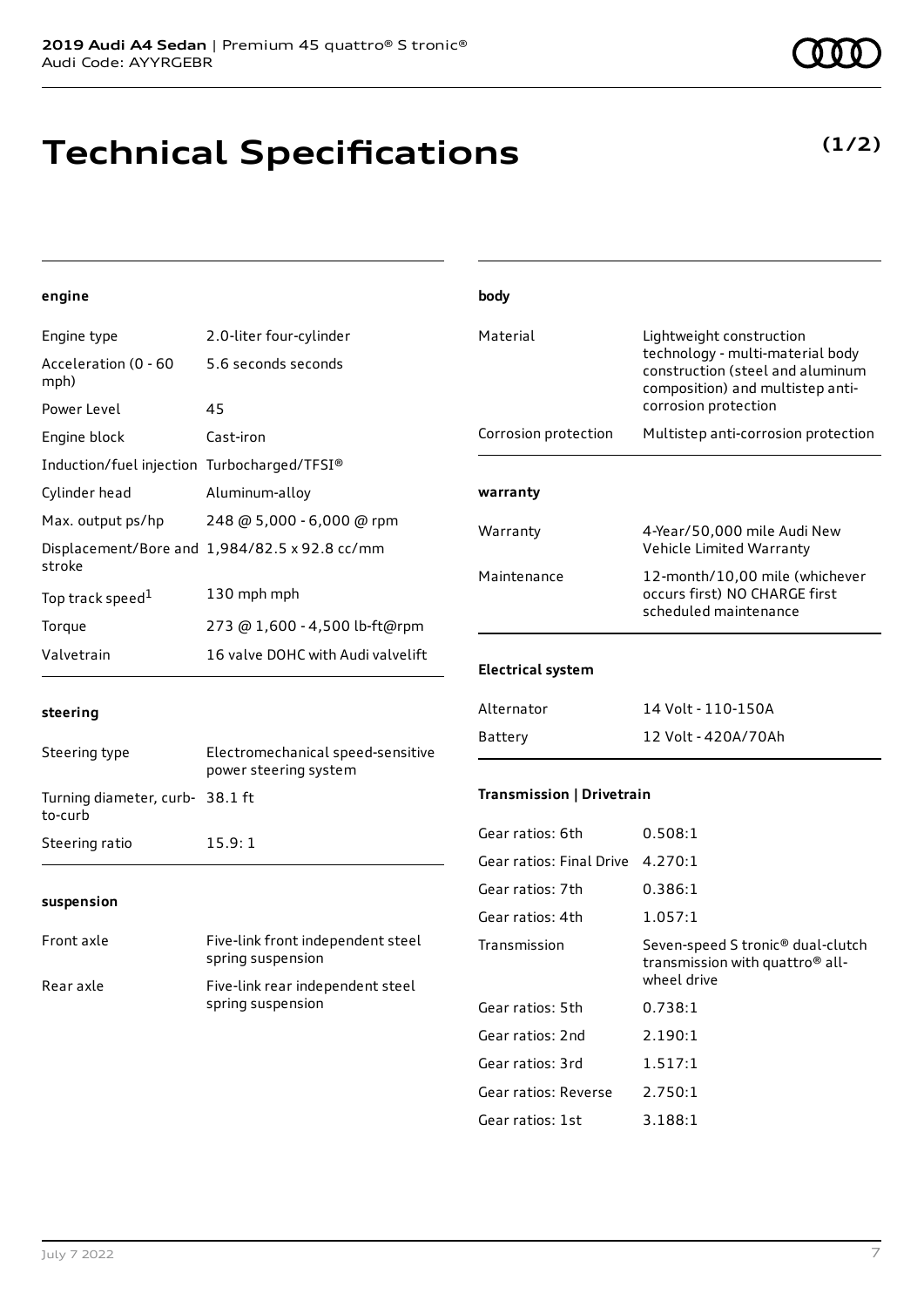## **Technical Specifications**

#### **engine**

| Engine type                                 | 2.0-liter four-cylinder                       |
|---------------------------------------------|-----------------------------------------------|
| Acceleration (0 - 60<br>mph)                | 5.6 seconds seconds                           |
| Power Level                                 | 45                                            |
| Engine block                                | Cast-iron                                     |
| Induction/fuel injection Turbocharged/TFSI® |                                               |
| Cylinder head                               | Aluminum-alloy                                |
| Max. output ps/hp                           | 248 @ 5,000 - 6,000 @ rpm                     |
| stroke                                      | Displacement/Bore and 1,984/82.5 x 92.8 cc/mm |
| Top track speed <sup>1</sup>                | 130 mph mph                                   |
| Torque                                      | 273 @ 1,600 - 4,500 lb-ft@rpm                 |
| Valvetrain                                  | 16 valve DOHC with Audi valvelift             |

| body                      |                                                                                                                                                              |
|---------------------------|--------------------------------------------------------------------------------------------------------------------------------------------------------------|
| Material                  | Lightweight construction<br>technology - multi-material body<br>construction (steel and aluminum<br>composition) and multistep anti-<br>corrosion protection |
| Corrosion protection      | Multistep anti-corrosion protection                                                                                                                          |
| warranty                  |                                                                                                                                                              |
| Warranty                  | 4-Year/50,000 mile Audi New<br>Vehicle Limited Warranty                                                                                                      |
| Maintenance               | 12-month/10,00 mile (whichever<br>occurs first) NO CHARGE first<br>scheduled maintenance                                                                     |
| <b>Electrical system</b>  |                                                                                                                                                              |
| Alternator                | 14 Volt - 110-150A                                                                                                                                           |
| Battery                   | 12 Volt - 420A/70Ah                                                                                                                                          |
| Transmission   Drivetrain |                                                                                                                                                              |
| Gear ratios: 6th          | 0.508:1                                                                                                                                                      |
| Gear ratios: Final Drive  | 4.270:1                                                                                                                                                      |
| Gear ratios: 7th          | 0.386:1                                                                                                                                                      |
| Gear ratios: 4th          | 1.057:1                                                                                                                                                      |
| Transmission              | Seven-speed S tronic® dual-clutch<br>transmission with quattro <sup>®</sup> all-<br>wheel drive                                                              |
| Gear ratios: 5th          | 0.738:1                                                                                                                                                      |
| Gear ratios: 2nd          | 2.190:1                                                                                                                                                      |
| Gear ratios: 3rd          | 1.517:1                                                                                                                                                      |
| Gear ratios: Reverse      | 2.750:1                                                                                                                                                      |
| Gear ratios: 1st          | 3.188:1                                                                                                                                                      |

#### **steering**

| Steering type                             | Electromechanical speed-sensitive<br>power steering system |
|-------------------------------------------|------------------------------------------------------------|
| Turning diameter, curb-38.1 ft<br>to-curb |                                                            |
| Steering ratio                            | 15.9:1                                                     |

#### **suspension**

| Front axle | Five-link front independent steel<br>spring suspension |
|------------|--------------------------------------------------------|
| Rear axle  | Five-link rear independent steel<br>spring suspension  |

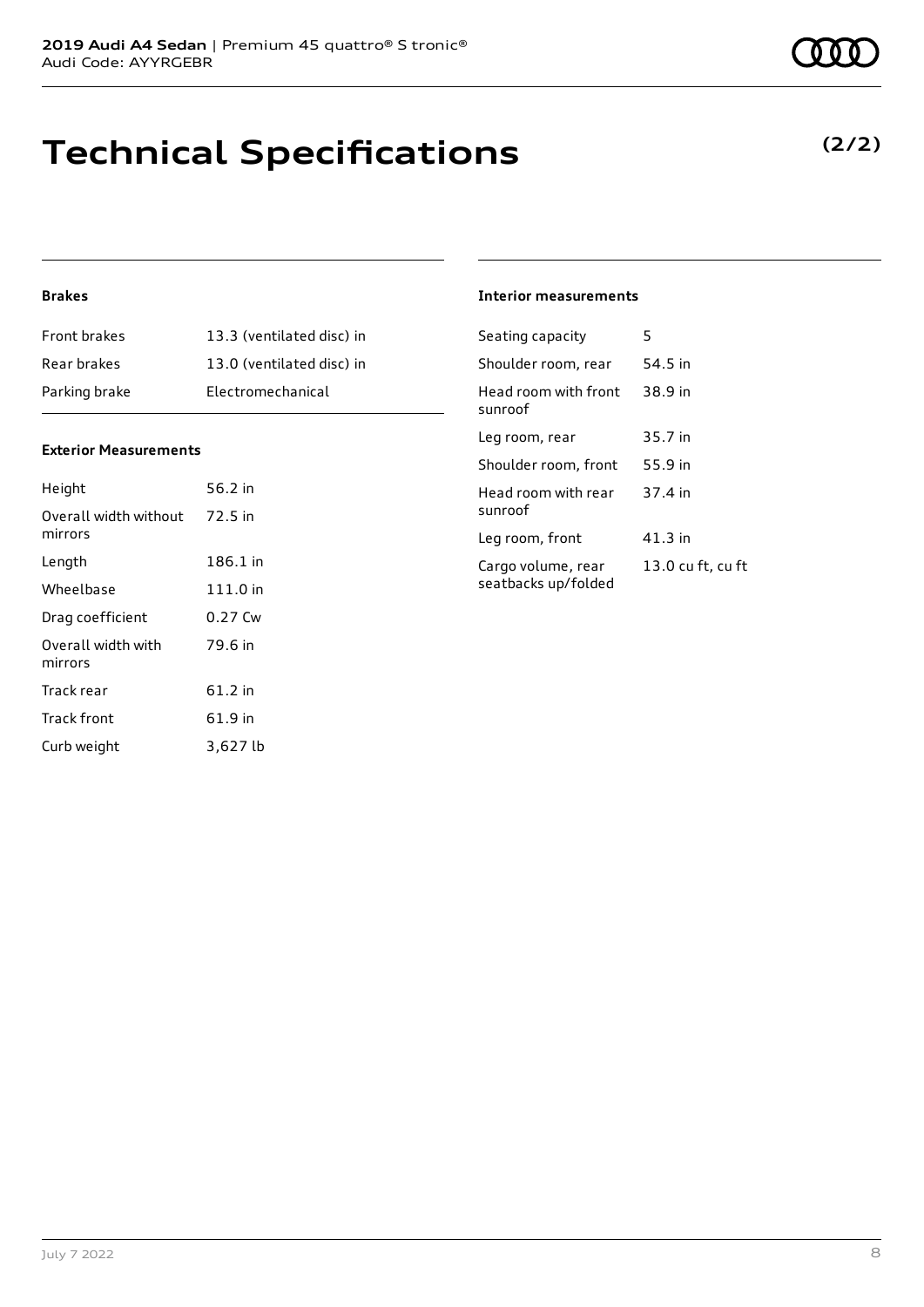# **Technical Specifications**

### **(2/2)**

#### **Brakes**

| <b>Front brakes</b> | 13.3 (ventilated disc) in |
|---------------------|---------------------------|
| Rear brakes         | 13.0 (ventilated disc) in |
| Parking brake       | Electromechanical         |

#### **Exterior Measurements**

| Height                           | 56.2 in  |
|----------------------------------|----------|
| Overall width without<br>mirrors | 72.5 in  |
| Lenath                           | 186.1 in |
| Wheelbase                        | 111.0 in |
| Drag coefficient                 | 0.27 Cw  |
| Overall width with<br>mirrors    | 79.6 in  |
| Track rear                       | 61.2 in  |
| Track front                      | 61.9 in  |
| Curb weight                      | 3,627 lb |

#### **Interior measurements**

| Seating capacity                          | 5                 |
|-------------------------------------------|-------------------|
| Shoulder room, rear                       | 54.5 in           |
| Head room with front<br>sunroof           | 38.9 in           |
| Leg room, rear                            | 35.7 in           |
| Shoulder room, front                      | 55.9 in           |
| Head room with rear<br>sunroof            | 37.4 in           |
| Leg room, front                           | $41.3$ in         |
| Cargo volume, rear<br>seatbacks up/folded | 13.0 cu ft, cu ft |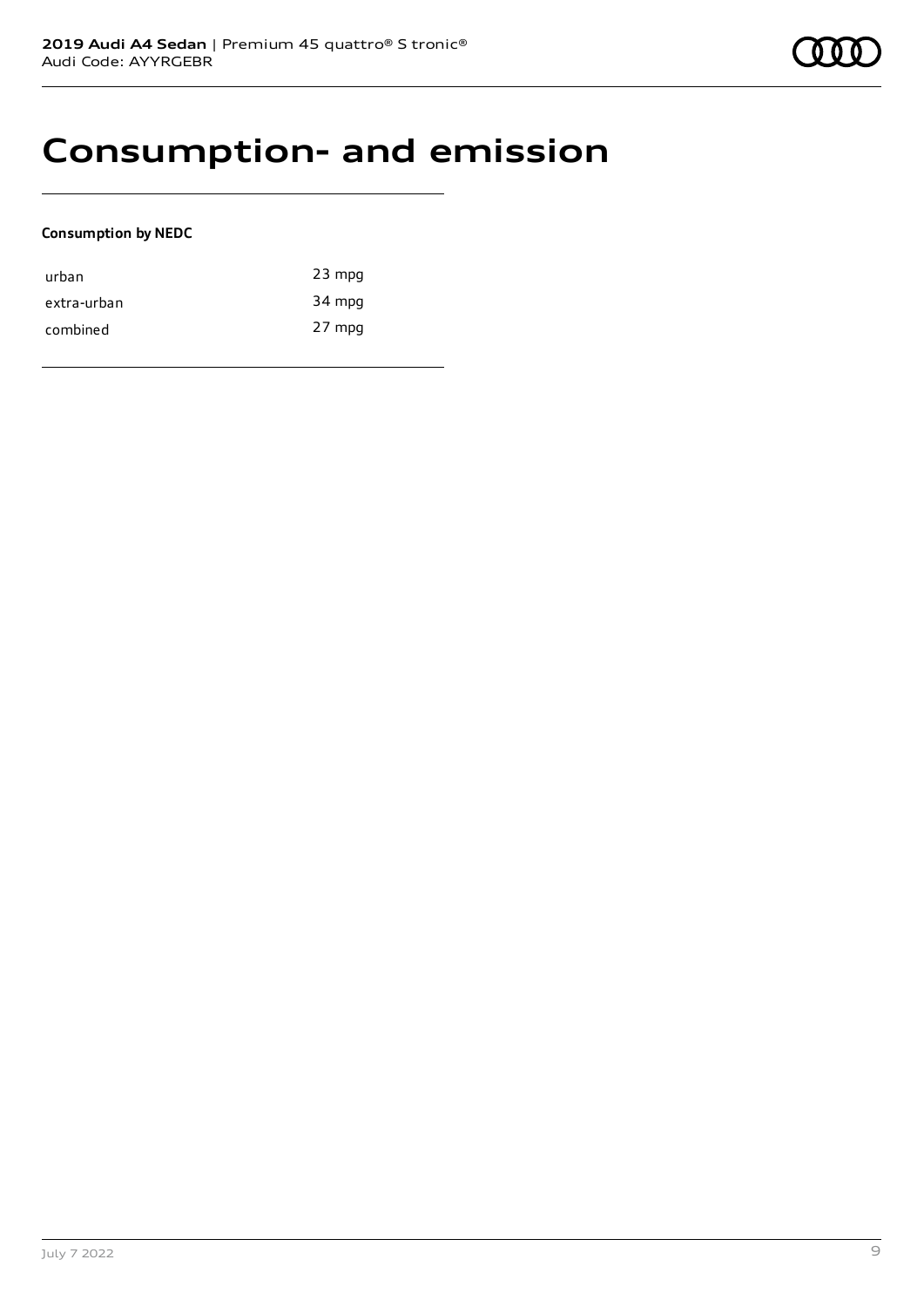## **Consumption- and emission**

#### **Consumption by NEDC**

| urban       | $23$ mpg |
|-------------|----------|
| extra-urban | 34 mpg   |
| combined    | 27 mpg   |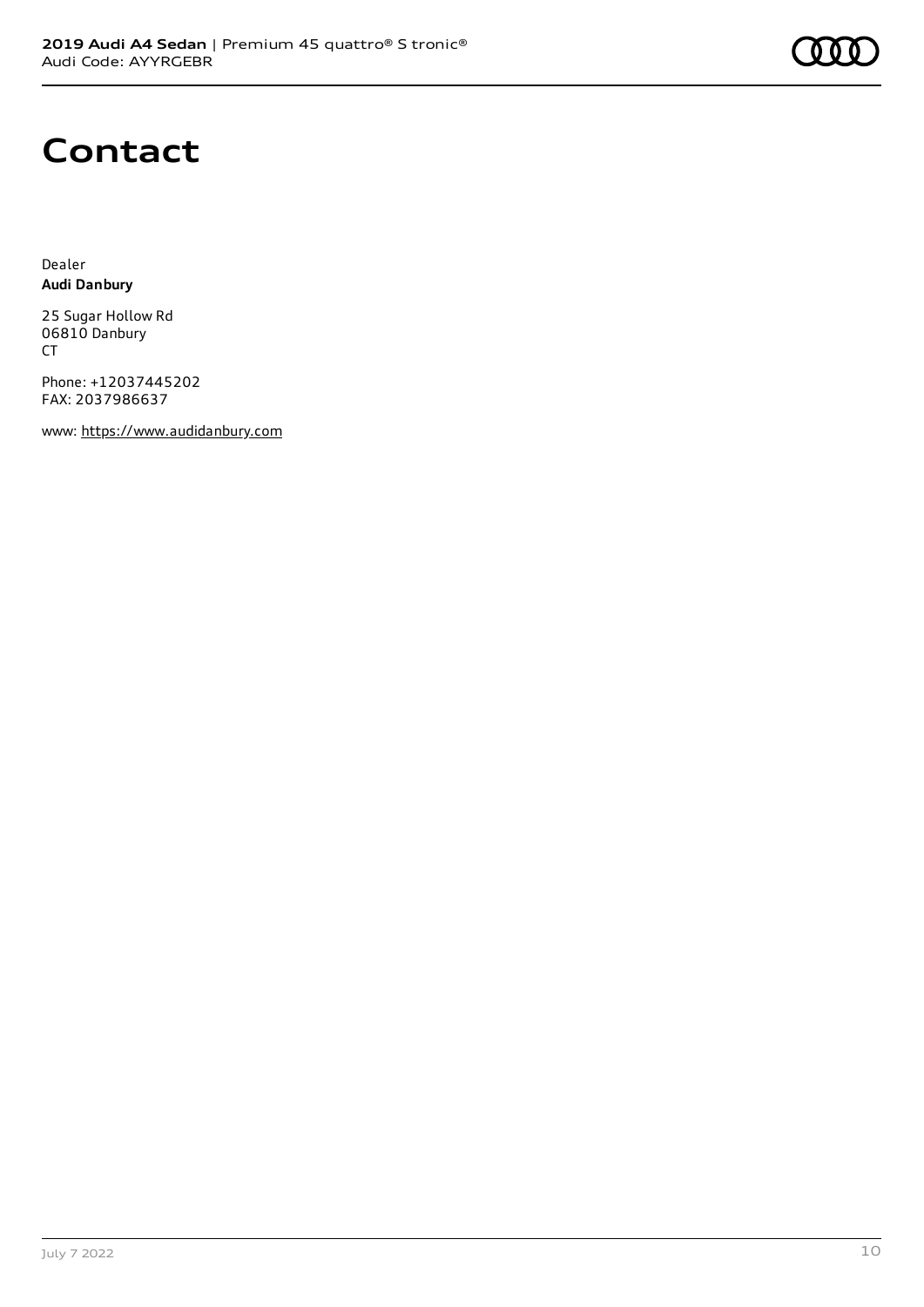

## **Contact**

Dealer **Audi Danbury**

25 Sugar Hollow Rd 06810 Danbury CT

Phone: +12037445202 FAX: 2037986637

www: [https://www.audidanbury.com](https://www.audidanbury.com/)